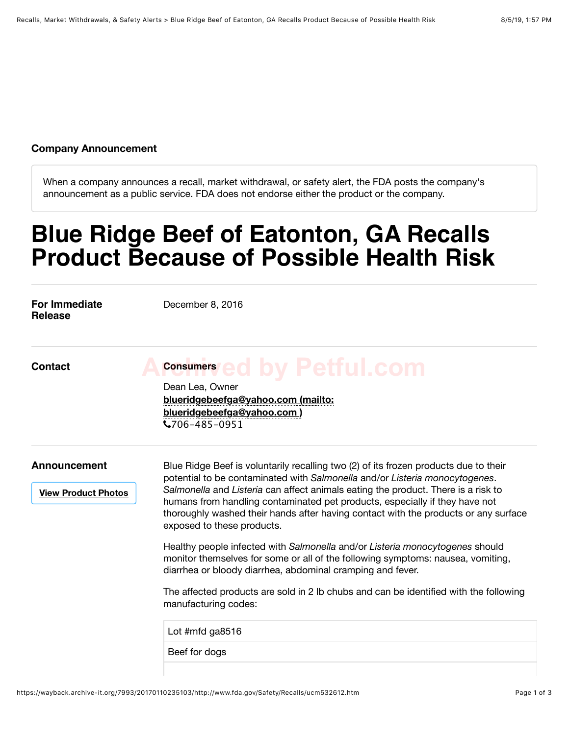## **Company Announcement**

When a company announces a recall, market withdrawal, or safety alert, the FDA posts the company's announcement as a public service. FDA does not endorse either the product or the company.

## **Blue Ridge Beef of Eatonton, GA Recalls Product Because of Possible Health Risk**

| For Immediate<br><b>Release</b>                   | December 8, 2016                                                                                                                                                                                                                                                                                                                                                                                                                                             |
|---------------------------------------------------|--------------------------------------------------------------------------------------------------------------------------------------------------------------------------------------------------------------------------------------------------------------------------------------------------------------------------------------------------------------------------------------------------------------------------------------------------------------|
| <b>Contact</b>                                    | <b>Consumers/ed by Petful.com</b><br>Dean Lea, Owner<br>blueridgebeefga@yahoo.com (mailto:<br>blueridgebeefga@yahoo.com)<br>$\text{V}706 - 485 - 0951$                                                                                                                                                                                                                                                                                                       |
| <b>Announcement</b><br><b>View Product Photos</b> | Blue Ridge Beef is voluntarily recalling two (2) of its frozen products due to their<br>potential to be contaminated with Salmonella and/or Listeria monocytogenes.<br>Salmonella and Listeria can affect animals eating the product. There is a risk to<br>humans from handling contaminated pet products, especially if they have not<br>thoroughly washed their hands after having contact with the products or any surface<br>exposed to these products. |
|                                                   | Healthy people infected with Salmonella and/or Listeria monocytogenes should<br>monitor themselves for some or all of the following symptoms: nausea, vomiting,<br>diarrhea or bloody diarrhea, abdominal cramping and fever.                                                                                                                                                                                                                                |
|                                                   | The affected products are sold in 2 lb chubs and can be identified with the following<br>manufacturing codes:                                                                                                                                                                                                                                                                                                                                                |
|                                                   | Lot #mfd ga8516                                                                                                                                                                                                                                                                                                                                                                                                                                              |
|                                                   | Beef for dogs                                                                                                                                                                                                                                                                                                                                                                                                                                                |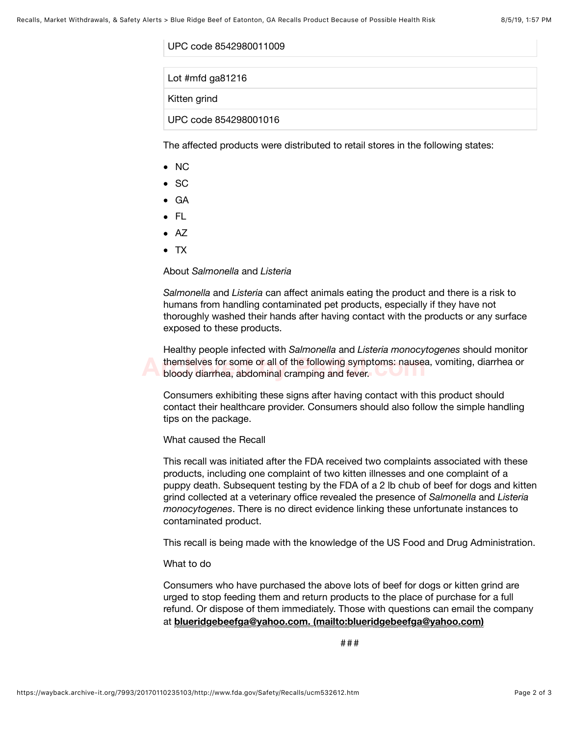UPC code 8542980011009

Lot #mfd ga81216

Kitten grind

UPC code 854298001016

The affected products were distributed to retail stores in the following states:

- $\bullet$  NC
- SC
- GA
- $\bullet$  FL
- $\bullet$  AZ
- $\bullet$  TX

## About *Salmonella* and *Listeria*

*Salmonella* and *Listeria* can affect animals eating the product and there is a risk to humans from handling contaminated pet products, especially if they have not thoroughly washed their hands after having contact with the products or any surface exposed to these products.

Healthy people infected with *Salmonella* and *Listeria monocytogenes* should monitor themselves for some or all of the following symptoms: nausea, vomiting, diarrhea or<br>**Archived bloody diarrhea, abdominal cramping and fever.** bloody diarrhea, abdominal cramping and fever.

Consumers exhibiting these signs after having contact with this product should contact their healthcare provider. Consumers should also follow the simple handling tips on the package.

What caused the Recall

This recall was initiated after the FDA received two complaints associated with these products, including one complaint of two kitten illnesses and one complaint of a puppy death. Subsequent testing by the FDA of a 2 lb chub of beef for dogs and kitten grind collected at a veterinary office revealed the presence of *Salmonella* and *Listeria monocytogenes*. There is no direct evidence linking these unfortunate instances to contaminated product.

This recall is being made with the knowledge of the US Food and Drug Administration.

## What to do

Consumers who have purchased the above lots of beef for dogs or kitten grind are urged to stop feeding them and return products to the place of purchase for a full refund. Or dispose of them immediately. Those with questions can email the company at **blueridgebeefga@yahoo.com. (mailto:blueridgebeefga@yahoo.com)**

###